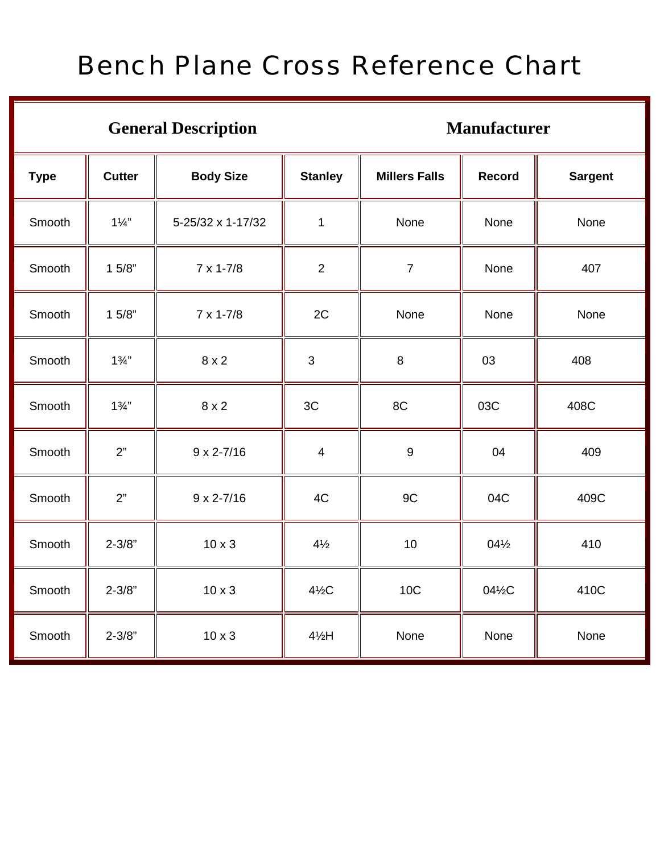## Bench Plane Cross Reference Chart

## General Description Manufacturer

| <b>Type</b> | <b>Cutter</b>  | <b>Body Size</b>    | <b>Stanley</b>  | <b>Millers Falls</b> | Record          | <b>Sargent</b> |
|-------------|----------------|---------------------|-----------------|----------------------|-----------------|----------------|
| Smooth      | $1\frac{1}{4}$ | 5-25/32 x 1-17/32   | $\mathbf{1}$    | None                 | None            | None           |
| Smooth      | 15/8"          | $7 \times 1 - 7/8$  | 2               | $\overline{7}$       | None            | 407            |
| Smooth      | 15/8"          | $7 \times 1 - 7/8$  | 2C              | None                 | None            | None           |
| Smooth      | $1\frac{3}{4}$ | $8 \times 2$        | $\mathbf{3}$    | $\,8\,$              | 03              | 408            |
| Smooth      | $1\frac{3}{4}$ | $8 \times 2$        | 3C              | 8C                   | 03C             | 408C           |
| Smooth      | 2"             | $9 \times 2 - 7/16$ | $\overline{4}$  | $\boldsymbol{9}$     | 04              | 409            |
| Smooth      | 2"             | $9 \times 2 - 7/16$ | 4C              | 9C                   | 04C             | 409C           |
| Smooth      | $2 - 3/8"$     | $10 \times 3$       | $4\frac{1}{2}$  | 10                   | $04\frac{1}{2}$ | 410            |
| Smooth      | $2 - 3/8"$     | $10 \times 3$       | $4\frac{1}{2}C$ | <b>10C</b>           | 04½C            | 410C           |
| Smooth      | $2 - 3/8"$     | $10 \times 3$       | $4\frac{1}{2}H$ | None                 | None            | None           |